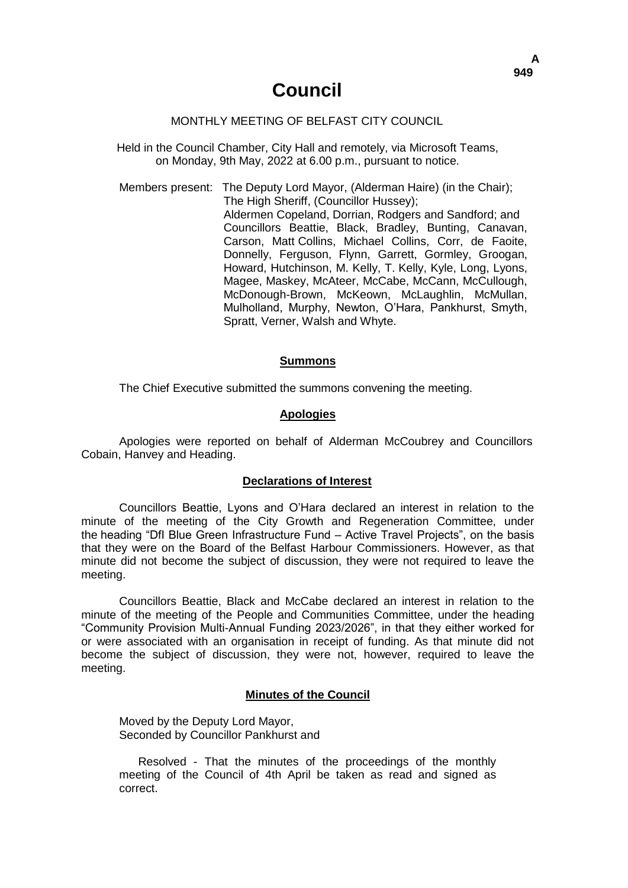## MONTHLY MEETING OF BELFAST CITY COUNCIL

Held in the Council Chamber, City Hall and remotely, via Microsoft Teams, on Monday, 9th May, 2022 at 6.00 p.m., pursuant to notice.

Members present: The Deputy Lord Mayor, (Alderman Haire) (in the Chair); The High Sheriff, (Councillor Hussey); Aldermen Copeland, Dorrian, Rodgers and Sandford; and Councillors Beattie, Black, Bradley, Bunting, Canavan, Carson, Matt Collins, Michael Collins, Corr, de Faoite, Donnelly, Ferguson, Flynn, Garrett, Gormley, Groogan, Howard, Hutchinson, M. Kelly, T. Kelly, Kyle, Long, Lyons, Magee, Maskey, McAteer, McCabe, McCann, McCullough, McDonough-Brown, McKeown, McLaughlin, McMullan, Mulholland, Murphy, Newton, O'Hara, Pankhurst, Smyth, Spratt, Verner, Walsh and Whyte.

#### **Summons**

The Chief Executive submitted the summons convening the meeting.

#### **Apologies**

Apologies were reported on behalf of Alderman McCoubrey and Councillors Cobain, Hanvey and Heading.

### **Declarations of Interest**

Councillors Beattie, Lyons and O'Hara declared an interest in relation to the minute of the meeting of the City Growth and Regeneration Committee, under the heading "DfI Blue Green Infrastructure Fund – Active Travel Projects", on the basis that they were on the Board of the Belfast Harbour Commissioners. However, as that minute did not become the subject of discussion, they were not required to leave the meeting.

Councillors Beattie, Black and McCabe declared an interest in relation to the minute of the meeting of the People and Communities Committee, under the heading "Community Provision Multi-Annual Funding 2023/2026", in that they either worked for or were associated with an organisation in receipt of funding. As that minute did not become the subject of discussion, they were not, however, required to leave the meeting.

#### **Minutes of the Council**

Moved by the Deputy Lord Mayor, Seconded by Councillor Pankhurst and

Resolved - That the minutes of the proceedings of the monthly meeting of the Council of 4th April be taken as read and signed as correct.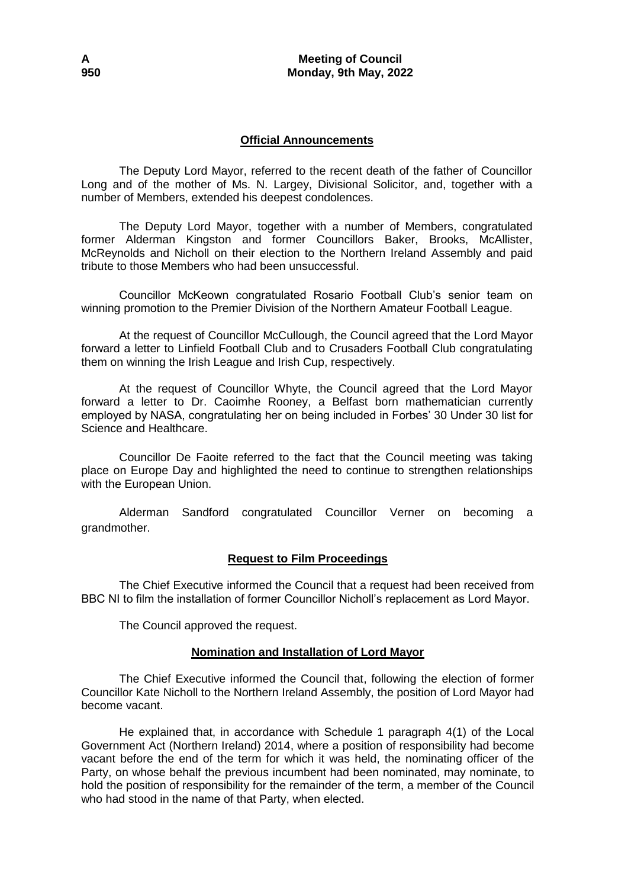## **Official Announcements**

The Deputy Lord Mayor, referred to the recent death of the father of Councillor Long and of the mother of Ms. N. Largey, Divisional Solicitor, and, together with a number of Members, extended his deepest condolences.

The Deputy Lord Mayor, together with a number of Members, congratulated former Alderman Kingston and former Councillors Baker, Brooks, McAllister, McReynolds and Nicholl on their election to the Northern Ireland Assembly and paid tribute to those Members who had been unsuccessful.

Councillor McKeown congratulated Rosario Football Club's senior team on winning promotion to the Premier Division of the Northern Amateur Football League.

At the request of Councillor McCullough, the Council agreed that the Lord Mayor forward a letter to Linfield Football Club and to Crusaders Football Club congratulating them on winning the Irish League and Irish Cup, respectively.

At the request of Councillor Whyte, the Council agreed that the Lord Mayor forward a letter to Dr. Caoimhe Rooney, a Belfast born mathematician currently employed by NASA, congratulating her on being included in Forbes' 30 Under 30 list for Science and Healthcare.

Councillor De Faoite referred to the fact that the Council meeting was taking place on Europe Day and highlighted the need to continue to strengthen relationships with the European Union.

Alderman Sandford congratulated Councillor Verner on becoming a grandmother.

## **Request to Film Proceedings**

The Chief Executive informed the Council that a request had been received from BBC NI to film the installation of former Councillor Nicholl's replacement as Lord Mayor.

The Council approved the request.

# **Nomination and Installation of Lord Mayor**

The Chief Executive informed the Council that, following the election of former Councillor Kate Nicholl to the Northern Ireland Assembly, the position of Lord Mayor had become vacant.

He explained that, in accordance with Schedule 1 paragraph 4(1) of the Local Government Act (Northern Ireland) 2014, where a position of responsibility had become vacant before the end of the term for which it was held, the nominating officer of the Party, on whose behalf the previous incumbent had been nominated, may nominate, to hold the position of responsibility for the remainder of the term, a member of the Council who had stood in the name of that Party, when elected.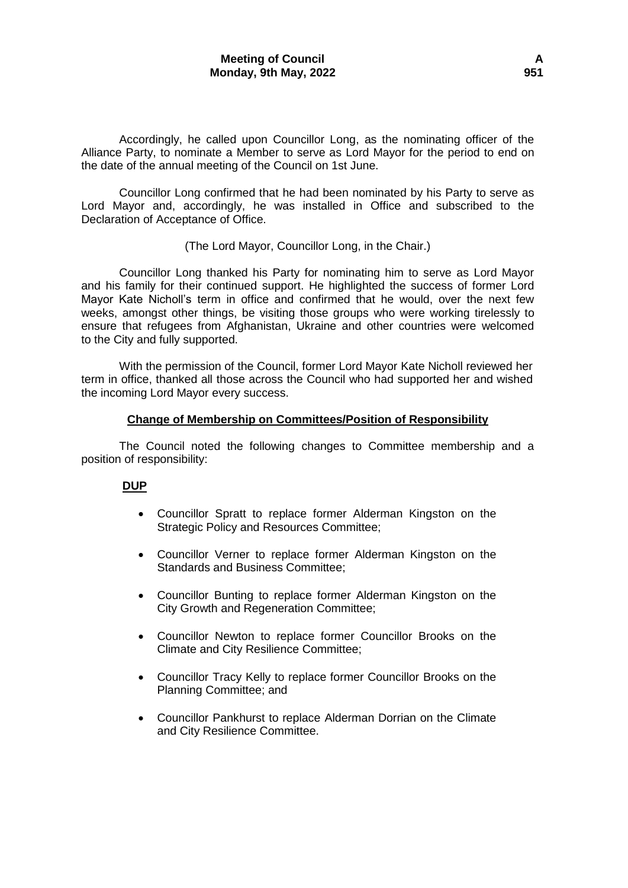Accordingly, he called upon Councillor Long, as the nominating officer of the Alliance Party, to nominate a Member to serve as Lord Mayor for the period to end on the date of the annual meeting of the Council on 1st June.

Councillor Long confirmed that he had been nominated by his Party to serve as Lord Mayor and, accordingly, he was installed in Office and subscribed to the Declaration of Acceptance of Office.

## (The Lord Mayor, Councillor Long, in the Chair.)

Councillor Long thanked his Party for nominating him to serve as Lord Mayor and his family for their continued support. He highlighted the success of former Lord Mayor Kate Nicholl's term in office and confirmed that he would, over the next few weeks, amongst other things, be visiting those groups who were working tirelessly to ensure that refugees from Afghanistan, Ukraine and other countries were welcomed to the City and fully supported.

With the permission of the Council, former Lord Mayor Kate Nicholl reviewed her term in office, thanked all those across the Council who had supported her and wished the incoming Lord Mayor every success.

### **Change of Membership on Committees/Position of Responsibility**

The Council noted the following changes to Committee membership and a position of responsibility:

## **DUP**

- Councillor Spratt to replace former Alderman Kingston on the Strategic Policy and Resources Committee;
- Councillor Verner to replace former Alderman Kingston on the Standards and Business Committee;
- Councillor Bunting to replace former Alderman Kingston on the City Growth and Regeneration Committee;
- Councillor Newton to replace former Councillor Brooks on the Climate and City Resilience Committee;
- Councillor Tracy Kelly to replace former Councillor Brooks on the Planning Committee; and
- Councillor Pankhurst to replace Alderman Dorrian on the Climate and City Resilience Committee.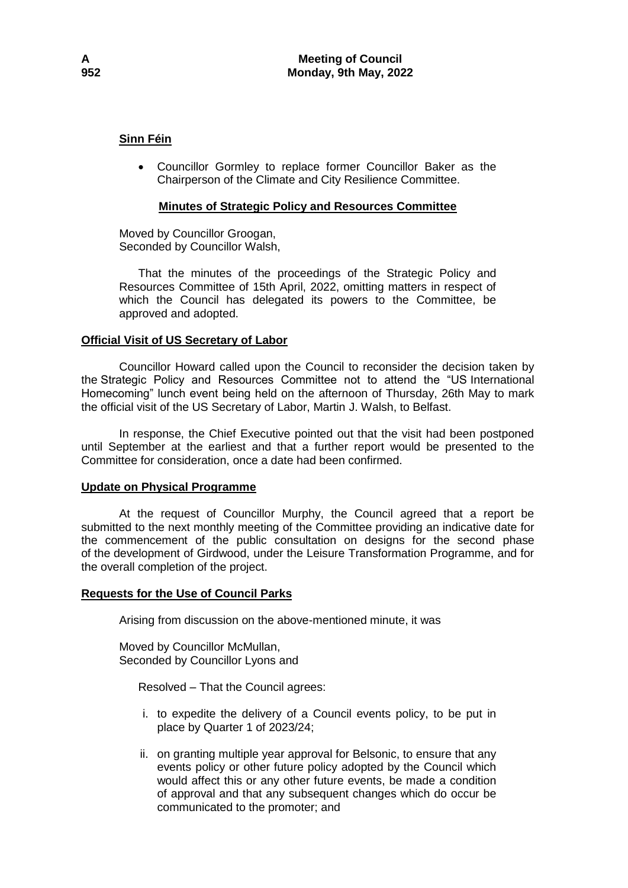# **Sinn Féin**

 Councillor Gormley to replace former Councillor Baker as the Chairperson of the Climate and City Resilience Committee.

# **Minutes of Strategic Policy and Resources Committee**

Moved by Councillor Groogan, Seconded by Councillor Walsh,

That the minutes of the proceedings of the Strategic Policy and Resources Committee of 15th April, 2022, omitting matters in respect of which the Council has delegated its powers to the Committee, be approved and adopted.

## **Official Visit of US Secretary of Labor**

Councillor Howard called upon the Council to reconsider the decision taken by the Strategic Policy and Resources Committee not to attend the "US International Homecoming" lunch event being held on the afternoon of Thursday, 26th May to mark the official visit of the US Secretary of Labor, Martin J. Walsh, to Belfast.

In response, the Chief Executive pointed out that the visit had been postponed until September at the earliest and that a further report would be presented to the Committee for consideration, once a date had been confirmed.

## **Update on Physical Programme**

At the request of Councillor Murphy, the Council agreed that a report be submitted to the next monthly meeting of the Committee providing an indicative date for the commencement of the public consultation on designs for the second phase of the development of Girdwood, under the Leisure Transformation Programme, and for the overall completion of the project.

## **Requests for the Use of Council Parks**

Arising from discussion on the above-mentioned minute, it was

Moved by Councillor McMullan, Seconded by Councillor Lyons and

Resolved – That the Council agrees:

- i. to expedite the delivery of a Council events policy, to be put in place by Quarter 1 of 2023/24;
- ii. on granting multiple year approval for Belsonic, to ensure that any events policy or other future policy adopted by the Council which would affect this or any other future events, be made a condition of approval and that any subsequent changes which do occur be communicated to the promoter; and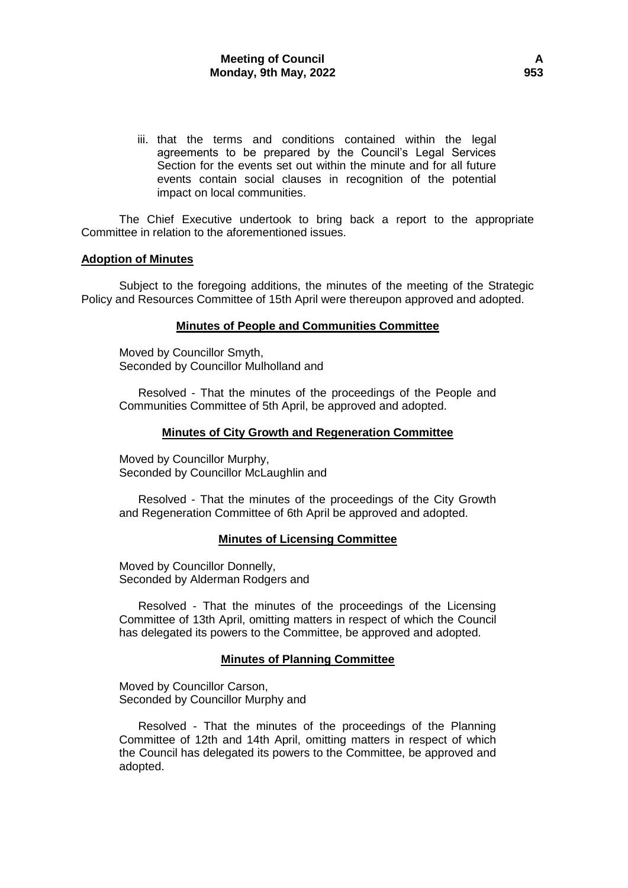iii. that the terms and conditions contained within the legal agreements to be prepared by the Council's Legal Services Section for the events set out within the minute and for all future events contain social clauses in recognition of the potential impact on local communities.

The Chief Executive undertook to bring back a report to the appropriate Committee in relation to the aforementioned issues.

### **Adoption of Minutes**

Subject to the foregoing additions, the minutes of the meeting of the Strategic Policy and Resources Committee of 15th April were thereupon approved and adopted.

### **Minutes of People and Communities Committee**

Moved by Councillor Smyth, Seconded by Councillor Mulholland and

Resolved - That the minutes of the proceedings of the People and Communities Committee of 5th April, be approved and adopted.

### **Minutes of City Growth and Regeneration Committee**

Moved by Councillor Murphy, Seconded by Councillor McLaughlin and

Resolved - That the minutes of the proceedings of the City Growth and Regeneration Committee of 6th April be approved and adopted.

### **Minutes of Licensing Committee**

Moved by Councillor Donnelly, Seconded by Alderman Rodgers and

Resolved - That the minutes of the proceedings of the Licensing Committee of 13th April, omitting matters in respect of which the Council has delegated its powers to the Committee, be approved and adopted.

## **Minutes of Planning Committee**

Moved by Councillor Carson, Seconded by Councillor Murphy and

Resolved - That the minutes of the proceedings of the Planning Committee of 12th and 14th April, omitting matters in respect of which the Council has delegated its powers to the Committee, be approved and adopted.